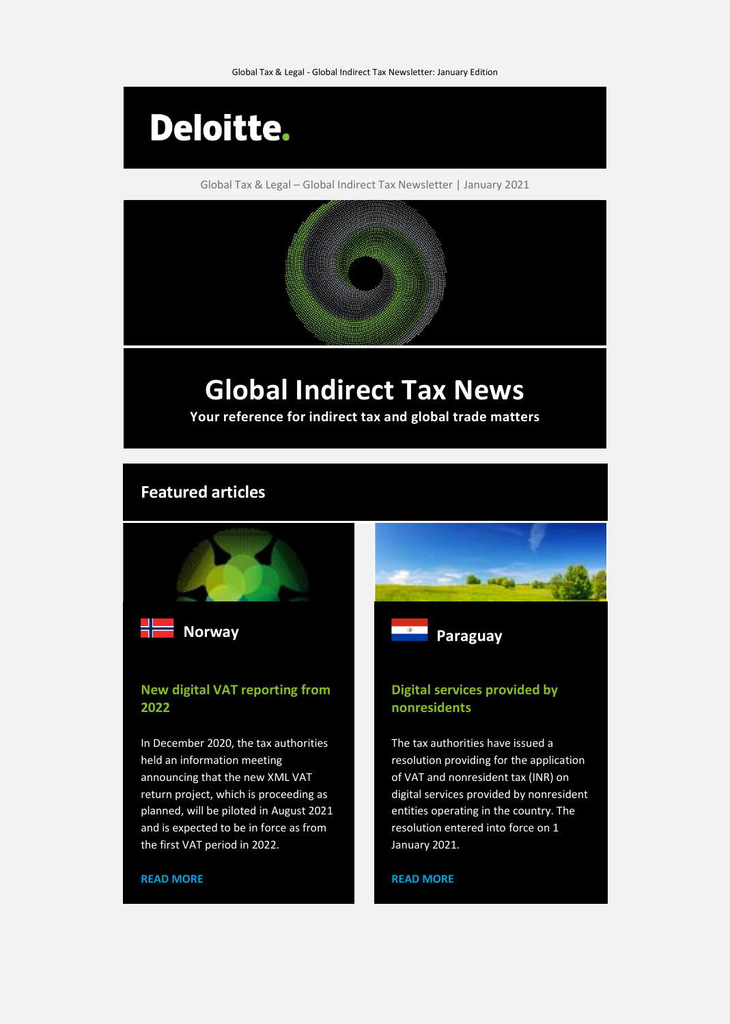

Global Tax & Legal – Global Indirect Tax Newsletter | January 2021

# **Global Indirect Tax News**

**Your reference for indirect tax and global trade matters**

# **Featured articles**



# **New digital VAT reporting from 2022**

In December 2020, the tax authorities held an information meeting announcing that the new XML VAT return project, which is proceeding as planned, will be piloted in August 2021 and is expected to be in force as from the first VAT period in 2022.

# **Digital services provided by nonresidents**

The tax authorities have issued a resolution providing for the application of VAT and nonresident tax (INR) on digital services provided by nonresident entities operating in the country. The resolution entered into force on 1 January 2021.

**[READ MORE](https://www.taxathand.com/article/15947/Paraguay/2021/Resolution-implements-VAT-and-INR-on-digital-services-provided-by-nonresidents)**

### **[READ MORE](https://www.taxathand.com/article/16052/Norway/2021/New-digital-VAT-reporting-from-2022)**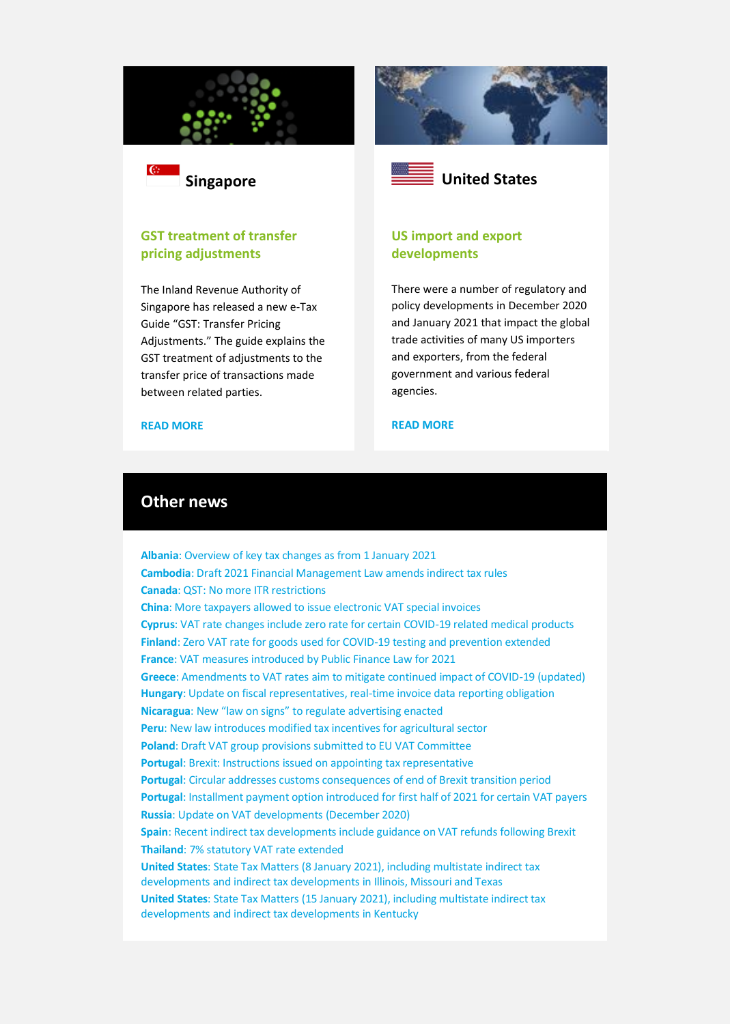



## **GST treatment of transfer pricing adjustments**

The Inland Revenue Authority of Singapore has released a new e-Tax Guide "GST: Transfer Pricing Adjustments." The guide explains the GST treatment of adjustments to the transfer price of transactions made between related parties.







# **US import and export developments**

There were a number of regulatory and policy developments in December 2020 and January 2021 that impact the global trade activities of many US importers and exporters, from the federal government and various federal agencies.

#### **[READ MORE](https://www.taxathand.com/article/15963/Canada/2021/In-case-you-missed-it-Recent-US-import-and-export-developments)**

# **Other news**

**Albania**[: Overview of key tax changes as from 1 January 2021](https://www.taxathand.com/article/15964/Albania/2021/Overview-of-key-tax-changes-as-from-1-January-2021) **Cambodia**[: Draft 2021 Financial Management Law amends indirect tax rules](https://www.taxathand.com/article/15898/Cambodia/2020/Draft-2021-Financial-Management-Law-amends-indirect-tax-rules) **Canada**[: QST: No more ITR restrictions](https://www.taxathand.com/article/15955/Canada/2021/QST-No-more-ITR-restrictions) **China**[: More taxpayers allowed to issue electronic VAT special invoices](https://www.taxathand.com/article/15940/China/2021/More-taxpayers-allowed-to-issue-electronic-VAT-special-invoices) **Cyprus**[: VAT rate changes include zero rate for certain COVID-19 related medical products](https://www.taxathand.com/article/15993/Cyprus/2021/VAT-rate-changes-include-zero-rate-for-certain-COVID-19-related-medical-products) **Finland**[: Zero VAT rate for goods used for COVID-19 testing and prevention extended](https://www.taxathand.com/article/16080/Finland/2020/Zero-VAT-rate-for-goods-used-for-COVID-19-testing-and-prevention-extended) **France**[: VAT measures introduced by Public Finance Law for 2021](https://www.taxathand.com/article/16008/France/2021/VAT-measures-introduced-by-Public-Finance-Law-for-2021) **Greece**[: Amendments to VAT rates aim to mitigate continued impact of COVID-19 \(updated\)](https://www.taxathand.com/article/15935/Greece/2021/Amendments-to-VAT-rates-aim-to-mitigate-continued-impact-of-COVID-19-updated) **Hungary**[: Update on fiscal representatives, real-time invoice data reporting obligation](https://www.taxathand.com/article/16053/Hungary/2021/Update-on-fiscal-representatives-real-time-invoice-data-reporting-obligation) **Nicaragua**[: New "law on signs" to regulate advertising enacted](https://www.taxathand.com/article/16011/Nicaragua/2021/New-law-on-signs-to-regulate-advertising-enacted) **Peru**[: New law introduces modified tax incentives for agricultural sector](https://www.taxathand.com/article/15954/Peru/2021/New-law-introduces-modified-tax-incentives-for-agricultural-sector) **Poland**[: Draft VAT group provisions submitted to EU VAT Committee](https://www.taxathand.com/article/16071/Poland/2021/Draft-VAT-group-provisions-submitted-to-EU-VAT-Committee) **Portugal**[: Brexit: Instructions issued on appointing tax representative](https://www.taxathand.com/article/15924/Portugal/2021/Brexit-Instructions-issued-on-appointing-tax-representative) **Portugal**[: Circular addresses customs consequences of end of Brexit transition period](https://www.taxathand.com/article/15923/Portugal/2021/Circular-addresses-customs-consequences-of-end-of-Brexit-transition-period-) **Portugal**[: Installment payment option introduced for first half of 2021 for certain VAT payers](https://www.taxathand.com/article/16012/Portugal/2021/Installment-payment-option-introduced-for-first-half-of-2021-for-certain-VAT-payers-) **Russia**[: Update on VAT developments \(December 2020\)](https://www.taxathand.com/article/16079/Russia/2021/Update-on-VAT-developments-December-2020) **Spain**[: Recent indirect tax developments include guidance on VAT refunds following Brexit](https://www.taxathand.com/article/16059/Spain/2021/Recent-indirect-tax-developments-include-guidance-on-VAT-refunds-following-Brexit) **Thailand**[: 7% statutory VAT rate extended](https://www.taxathand.com/article/15914/Thailand/2020/7-statutory-VAT-rate-extended) **United States**[: State Tax Matters \(8 January 2021\), including multistate indirect tax](https://www.taxathand.com/article/15941/United-States/2021/State-Tax-Matters-8-January-2021)  [developments and indirect tax developments in Illinois, Missouri and Texas](https://www.taxathand.com/article/15941/United-States/2021/State-Tax-Matters-8-January-2021) **United States**[: State Tax Matters \(15 January 2021\), including multistate indirect tax](https://www.taxathand.com/article/15976/United-States/2021/State-Tax-Matters-15-January-2021)  [developments and indirect tax developments in Kentucky](https://www.taxathand.com/article/15976/United-States/2021/State-Tax-Matters-15-January-2021)